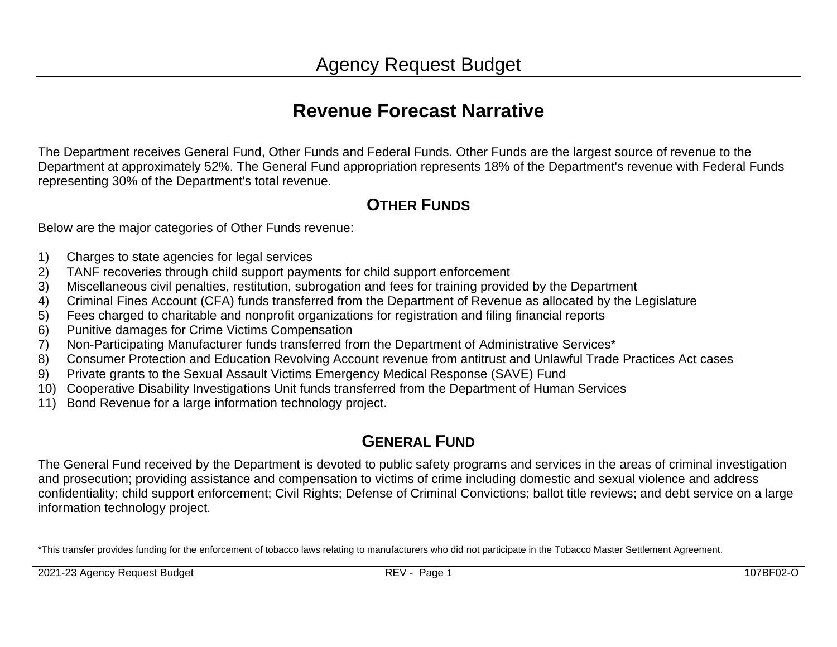# **Revenue Forecast Narrative**

The Department receives General Fund, Other Funds and Federal Funds. Other Funds are the largest source of revenue to the Department at approximately 52%. The General Fund appropriation represents 18% of the Department's revenue with Federal Funds representing 30% of the Department's total revenue.

## **OTHER FUNDS**

Below are the major categories of Other Funds revenue:

- 1) Charges to state agencies for legal services
- 2) TANF recoveries through child support payments for child support enforcement
- 3) Miscellaneous civil penalties, restitution, subrogation and fees for training provided by the Department
- 4) Criminal Fines Account (CFA) funds transferred from the Department of Revenue as allocated by the Legislature
- 5) Fees charged to charitable and nonprofit organizations for registration and filing financial reports
- 6) Punitive damages for Crime Victims Compensation
- 7) Non-Participating Manufacturer funds transferred from the Department of Administrative Services\*
- 8) Consumer Protection and Education Revolving Account revenue from antitrust and Unlawful Trade Practices Act cases
- 9) Private grants to the Sexual Assault Victims Emergency Medical Response (SAVE) Fund
- 10) Cooperative Disability Investigations Unit funds transferred from the Department of Human Services
- 11) Bond Revenue for a large information technology project.

## **GENERAL FUND**

The General Fund received by the Department is devoted to public safety programs and services in the areas of criminal investigation and prosecution; providing assistance and compensation to victims of crime including domestic and sexual violence and address confidentiality; child support enforcement; Civil Rights; Defense of Criminal Convictions; ballot title reviews; and debt service on a large information technology project.

\*This transfer provides funding for the enforcement of tobacco laws relating to manufacturers who did not participate in the Tobacco Master Settlement Agreement.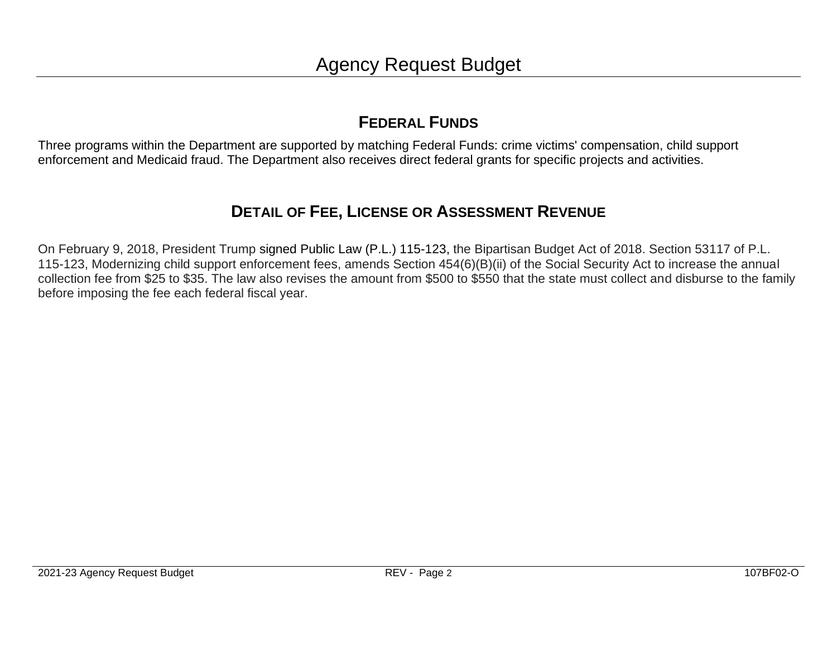## **FEDERAL FUNDS**

Three programs within the Department are supported by matching Federal Funds: crime victims' compensation, child support enforcement and Medicaid fraud. The Department also receives direct federal grants for specific projects and activities.

## **DETAIL OF FEE, LICENSE OR ASSESSMENT REVENUE**

On February 9, 2018, President Trump signed Public Law (P.L.) [115-123,](https://www.congress.gov/bill/115th-congress/house-bill/1892/text?q=%7B%22search%22%3A%5B%22hr1892%22%5D%7D&r=1) the Bipartisan Budget Act of 2018. Section 53117 of P.L. 115-123, Modernizing child support enforcement fees, amends Section 454(6)(B)(ii) of the Social Security Act to increase the annual collection fee from \$25 to \$35. The law also revises the amount from \$500 to \$550 that the state must collect and disburse to the family before imposing the fee each federal fiscal year.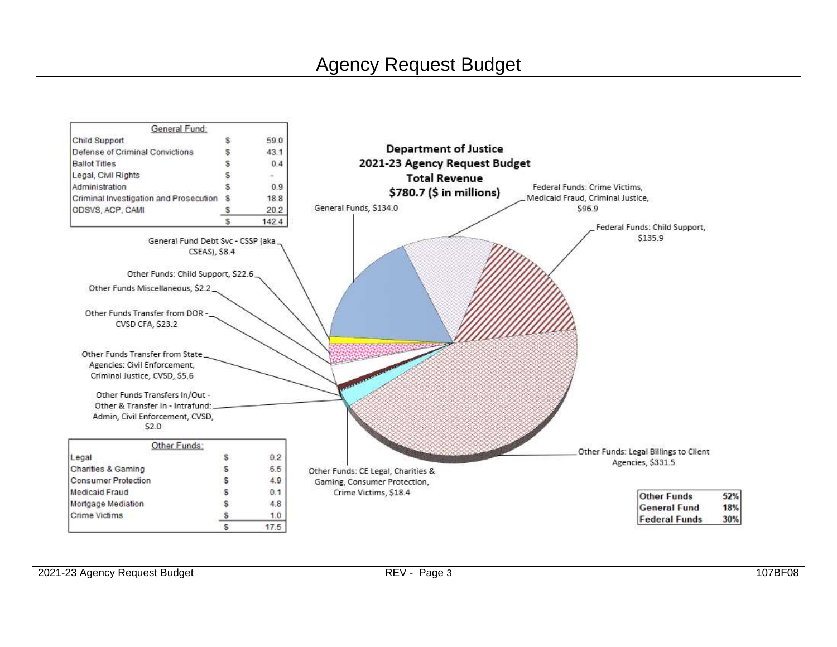# Agency Request Budget

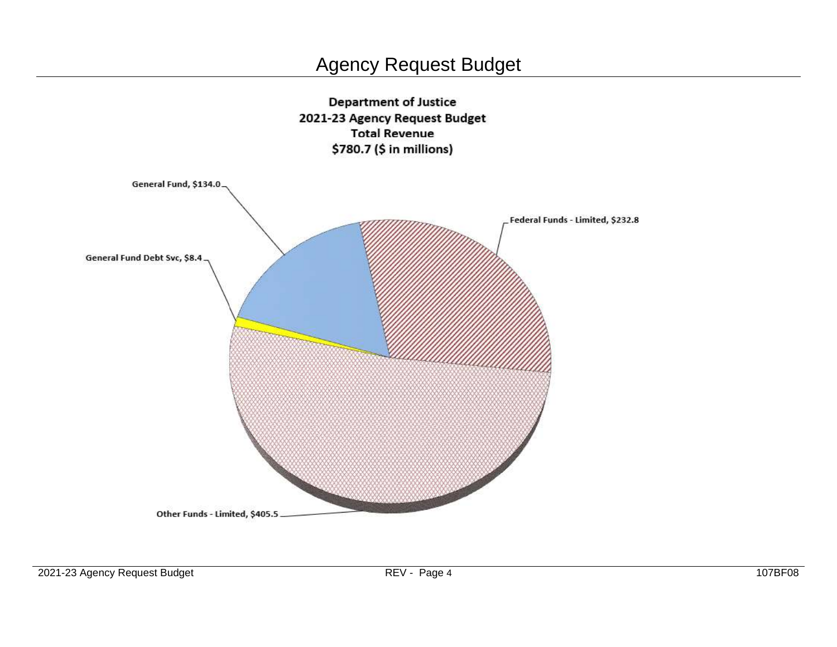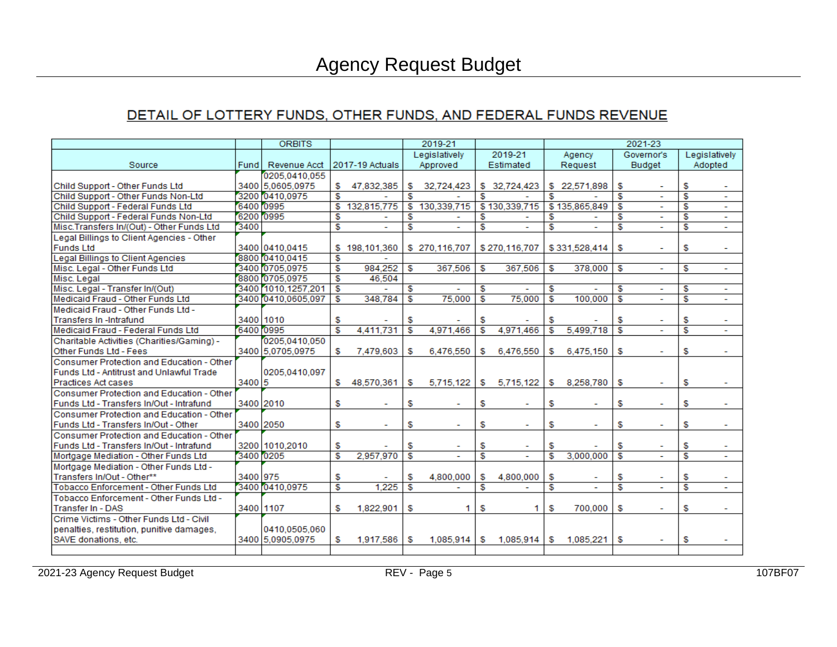## DETAIL OF LOTTERY FUNDS, OTHER FUNDS, AND FEDERAL FUNDS REVENUE

|                                            |           | <b>ORBITS</b>        |                         |                          |    | 2019-21       |    |                          |                         |               |                         | 2021-23        |    |                          |
|--------------------------------------------|-----------|----------------------|-------------------------|--------------------------|----|---------------|----|--------------------------|-------------------------|---------------|-------------------------|----------------|----|--------------------------|
|                                            |           |                      |                         |                          |    | Legislatively |    | 2019-21                  |                         | Agency        |                         | Governor's     |    | Legislatively            |
| Source                                     | Fund      | Revenue Acct         |                         | 2017-19 Actuals          |    | Approved      |    | Estimated                |                         | Request       |                         | <b>Budget</b>  |    | Adopted                  |
|                                            |           | 0205.0410.055        |                         |                          |    |               |    |                          |                         |               |                         |                |    |                          |
| Child Support - Other Funds Ltd            |           | 3400 5,0605,0975     | S.                      | 47,832,385               | \$ | 32,724,423    |    | \$ 32,724,423            |                         | \$22,571,898  | \$                      |                | S  |                          |
| Child Support - Other Funds Non-Ltd        |           | 3200 0410.0975       | \$.                     |                          | S  |               | S  |                          | \$.                     |               | \$.                     | $\blacksquare$ | S  | $\blacksquare$           |
| Child Support - Federal Funds Ltd          | 6400 0995 |                      | S                       | 132,815,775              | £. | 130,339,715   |    | \$130,339,715            |                         | \$135,865,849 | S                       |                | S  | ٠                        |
| Child Support - Federal Funds Non-Ltd      | 6200 0995 |                      | S.                      |                          | S  |               | S  |                          | S                       |               | S                       |                | S  | $\overline{\phantom{a}}$ |
| Misc.Transfers In/(Out) - Other Funds Ltd  | 3400      |                      | \$                      | $\overline{\phantom{0}}$ | S  |               | S  |                          | \$                      |               | \$                      |                | S  | $\sim$                   |
| Legal Billings to Client Agencies - Other  |           |                      |                         |                          |    |               |    |                          |                         |               |                         |                |    |                          |
| Funds Ltd                                  |           | 3400 0410,0415       |                         | \$198,101,360            |    | \$270,116,707 |    | \$270,116,707            |                         | \$331,528,414 | \$                      |                | S  |                          |
| Legal Billings to Client Agencies          |           | 8800 0410,0415       | £.                      |                          |    |               |    |                          |                         |               |                         |                |    |                          |
| Misc. Legal - Other Funds Ltd              |           | 3400 0705.0975       | £                       | 984,252                  | S  | 367,506       | S  | 367,506                  | S                       | 378,000       | S                       |                | S  | $\sim$                   |
| Misc. Legal                                |           | 8800 0705.0975       | S                       | 46,504                   |    |               |    |                          |                         |               |                         |                |    |                          |
| Misc. Legal - Transfer In/(Out)            |           | 3400 1010, 1257, 201 | S                       |                          | S  |               | S  | $\overline{\phantom{0}}$ | S                       |               | S                       |                | £. | $\sim$                   |
| Medicaid Fraud - Other Funds Ltd           |           | 3400 0410.0605.097   | \$                      | 348.784                  | \$ | 75,000        | \$ | 75,000                   | \$                      | 100,000       | $\mathfrak{s}$          |                | \$ |                          |
| Medicaid Fraud - Other Funds Ltd -         |           |                      |                         |                          |    |               |    |                          |                         |               |                         |                |    |                          |
| Transfers In -Intrafund                    |           | 3400 1010            | S                       |                          | S  |               | \$ |                          | \$                      |               | \$                      |                | \$ |                          |
| Medicaid Fraud - Federal Funds Ltd         | 6400 0995 |                      | $\overline{\mathbf{s}}$ | 4.411.731                | S  | 4,971,466     | \$ | 4.971.466                | £.                      | 5,499,718     | $\overline{\mathbf{s}}$ |                | S  | $\sim$                   |
| Charitable Activities (Charities/Gaming) - |           | 0205.0410.050        |                         |                          |    |               |    |                          |                         |               |                         |                |    |                          |
| Other Funds Ltd - Fees                     |           | 3400 5.0705.0975     | S                       | 7,479,603                | S  | 6,476,550     | \$ | 6,476,550                | \$                      | 6,475,150     | \$                      |                | \$ |                          |
| Consumer Protection and Education - Other  |           |                      |                         |                          |    |               |    |                          |                         |               |                         |                |    |                          |
| Funds Ltd - Antitrust and Unlawful Trade   |           | 0205,0410,097        |                         |                          |    |               |    |                          |                         |               |                         |                |    |                          |
| <b>Practices Act cases</b>                 | 3400 5    |                      | \$                      | 48.570.361               | \$ | 5,715,122     | \$ | 5.715.122                | \$                      | 8.258.780     | \$                      |                | S  |                          |
| Consumer Protection and Education - Other  |           |                      |                         |                          |    |               |    |                          |                         |               |                         |                |    |                          |
| Funds Ltd - Transfers In/Out - Intrafund   |           | 3400 2010            | \$                      |                          | \$ |               | \$ |                          | \$                      |               | \$                      |                | \$ |                          |
| Consumer Protection and Education - Other  |           |                      |                         |                          |    |               |    |                          |                         |               |                         |                |    |                          |
| Funds Ltd - Transfers In/Out - Other       |           | 3400 2050            | \$                      | ٠                        | \$ | ۰             | S  | ۰                        | \$                      | ٠             | \$                      |                | \$ | $\overline{\phantom{a}}$ |
| Consumer Protection and Education - Other  |           |                      |                         |                          |    |               |    |                          |                         |               |                         |                |    |                          |
| Funds Ltd - Transfers In/Out - Intrafund   |           | 3200 1010,2010       | \$                      |                          | S  |               | \$ |                          | \$                      |               | S                       |                | \$ |                          |
| Mortgage Mediation - Other Funds Ltd       | 3400 0205 |                      | S                       | 2.957.970                | S  |               | \$ |                          | $\overline{\mathbb{S}}$ | 3.000.000     | $\overline{\mathbf{s}}$ |                | \$ |                          |
| Mortgage Mediation - Other Funds Ltd -     |           |                      |                         |                          |    |               |    |                          |                         |               |                         |                |    |                          |
| Transfers In/Out - Other**                 | 3400 975  |                      | \$                      |                          | S  | 4,800,000     | \$ | 4,800,000                | \$                      |               | \$                      |                | \$ |                          |
| Tobacco Enforcement - Other Funds Ltd      |           | 3400 0410,0975       | £.                      | 1,225                    | S  |               | S  |                          | $\overline{\mathbf{s}}$ | ÷.            | $\overline{\mathbf{r}}$ |                | S  | $\sim$                   |
| Tobacco Enforcement - Other Funds Ltd -    |           |                      |                         |                          |    |               |    |                          |                         |               |                         |                |    |                          |
| Transfer In - DAS                          |           | 3400 1107            | S                       | 1,822,901                | \$ |               | \$ | 1                        | \$                      | 700,000       | \$                      |                | \$ |                          |
| Crime Victims - Other Funds Ltd - Civil    |           |                      |                         |                          |    |               |    |                          |                         |               |                         |                |    |                          |
| penalties, restitution, punitive damages,  |           | 0410,0505,060        |                         |                          |    |               |    |                          |                         |               |                         |                |    |                          |
| SAVE donations, etc.                       |           | 3400 5.0905.0975     | S.                      | 1.917.586                | \$ | 1.085.914     | S  | 1.085.914                | \$                      | 1.085.221     | S.                      |                | S  |                          |
|                                            |           |                      |                         |                          |    |               |    |                          |                         |               |                         |                |    |                          |
|                                            |           |                      |                         |                          |    |               |    |                          |                         |               |                         |                |    |                          |

2021-23 Agency Request Budget **REV - Page 5** 107BF07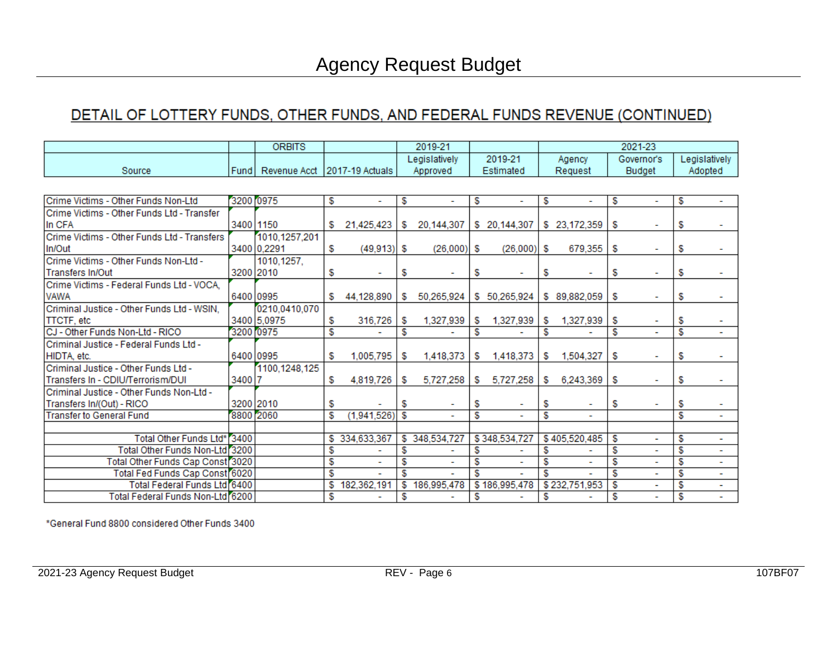## DETAIL OF LOTTERY FUNDS, OTHER FUNDS, AND FEDERAL FUNDS REVENUE (CONTINUED)

|                                             |           | <b>ORBITS</b> |     |                          |    | 2019-21       |     |                          | 2021-23 |                          |    |               |                         |                          |
|---------------------------------------------|-----------|---------------|-----|--------------------------|----|---------------|-----|--------------------------|---------|--------------------------|----|---------------|-------------------------|--------------------------|
|                                             |           |               |     |                          |    | Legislatively |     | 2019-21                  |         | Agency                   |    | Governor's    |                         | Legislatively            |
| Source                                      | Fund      | Revenue Acct  |     | 2017-19 Actuals          |    | Approved      |     | Estimated                |         | Request                  |    | <b>Budget</b> |                         | Adopted                  |
|                                             |           |               |     |                          |    |               |     |                          |         |                          |    |               |                         |                          |
| Crime Victims - Other Funds Non-Ltd         |           | 3200 0975     | S   | $\overline{\phantom{0}}$ | \$ |               | S   | ٠                        | S       | $\overline{\phantom{a}}$ | \$ |               | S                       |                          |
| Crime Victims - Other Funds Ltd - Transfer  |           |               |     |                          |    |               |     |                          |         |                          |    |               |                         |                          |
| In CFA                                      |           | 3400 1150     | SS. | 21,425,423               | S. | 20,144,307    |     | \$ 20,144,307            |         | \$23,172,359             | \$ |               | S                       |                          |
| Crime Victims - Other Funds Ltd - Transfers |           | 1010,1257,201 |     |                          |    |               |     |                          |         |                          |    |               |                         |                          |
| In/Out                                      |           | 3400 0.2291   | \$  | $(49, 913)$ \$           |    | (26,000)      | l S | (26,000)                 | \$      | 679,355                  | \$ |               | S.                      |                          |
| Crime Victims - Other Funds Non-Ltd -       |           | 1010,1257,    |     |                          |    |               |     |                          |         |                          |    |               |                         |                          |
| <b>Transfers In/Out</b>                     |           | 3200 2010     | \$  |                          | \$ |               | S   |                          | \$      |                          | \$ |               | \$                      |                          |
| Crime Victims - Federal Funds Ltd - VOCA,   |           |               |     |                          |    |               |     |                          |         |                          |    |               |                         |                          |
| <b>VAWA</b>                                 | 6400 0995 |               | S.  | 44,128,890               | S  | 50,265,924    |     | \$50,265,924             |         | \$89,882,059             | S  |               | \$                      |                          |
| Criminal Justice - Other Funds Ltd - WSIN.  |           | 0210,0410,070 |     |                          |    |               |     |                          |         |                          |    |               |                         |                          |
| <b>TTCTF, etc.</b>                          |           | 3400 5.0975   | S   | 316,726                  | S  | 1,327,939     | S   | 1,327,939                | S.      | 1,327,939                | S  |               | S                       |                          |
| CJ - Other Funds Non-Ltd - RICO             |           | 3200 0975     | S   |                          | S  |               | S   |                          | \$      |                          | \$ |               | S                       | $\overline{\phantom{a}}$ |
| Criminal Justice - Federal Funds Ltd -      |           |               |     |                          |    |               |     |                          |         |                          |    |               |                         |                          |
| HIDTA, etc.                                 |           | 6400 0995     | \$  | 1,005,795                | \$ | 1,418,373     | S   | 1,418,373                | S.      | 1.504.327                | \$ |               | S                       |                          |
| Criminal Justice - Other Funds Ltd -        |           | 1100,1248,125 |     |                          |    |               |     |                          |         |                          |    |               |                         |                          |
| Transfers In - CDIU/Terrorism/DUI           | 3400 7    |               | S.  | 4,819,726                | S  | 5,727,258     | S.  | 5,727,258                | S       | 6,243,369                | \$ |               | \$                      |                          |
| Criminal Justice - Other Funds Non-Ltd -    |           |               |     |                          |    |               |     |                          |         |                          |    |               |                         |                          |
| Transfers In/(Out) - RICO                   |           | 3200 2010     | \$  |                          | \$ |               | S   |                          | \$      |                          | \$ |               | \$                      |                          |
| <b>Transfer to General Fund</b>             |           | 8800 2060     | \$  | (1,941,526)              | \$ |               | \$  |                          | \$      |                          |    |               | S                       |                          |
|                                             |           |               |     |                          |    |               |     |                          |         |                          |    |               |                         |                          |
| Total Other Funds Ltd*                      | 3400      |               | \$. | 334,633,367              |    | \$348,534,727 |     | \$348,534,727            |         | \$405,520,485            | S  |               | \$                      | $\overline{\phantom{a}}$ |
| Total Other Funds Non-Ltd 3200              |           |               | \$  |                          | \$ |               | S   |                          | \$      |                          | \$ |               | $\overline{\mathbb{S}}$ | ۰                        |
| Total Other Funds Cap Const 3020            |           |               | \$  | ٠                        | \$ |               | S   | $\overline{\phantom{a}}$ | S       | $\overline{\phantom{a}}$ | \$ |               | S                       | ٠                        |
| Total Fed Funds Cap Const 6020              |           |               | \$  |                          | S  |               | S   |                          | S       |                          | S  |               | S                       | $\blacksquare$           |
| Total Federal Funds Ltd 6400                |           |               | S   | 182.362.191              | S  | 186,995,478   |     | \$186,995,478            |         | \$232,751,953            | \$ |               | S                       | $\blacksquare$           |
| Total Federal Funds Non-Ltd 6200            |           |               | \$  |                          | \$ |               | \$  |                          | \$      |                          | \$ |               | \$                      |                          |

\*General Fund 8800 considered Other Funds 3400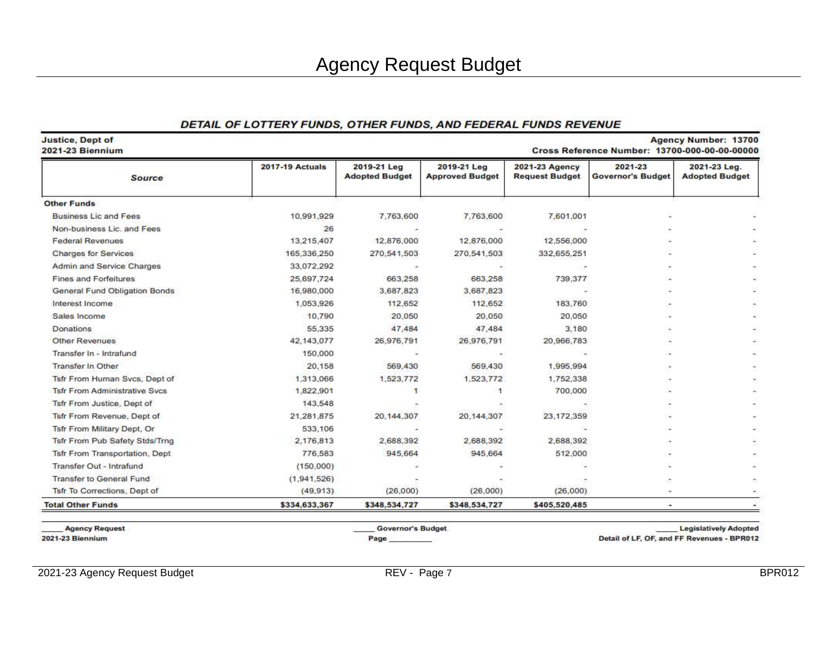#### DETAIL OF LOTTERY FUNDS, OTHER FUNDS, AND FEDERAL FUNDS REVENUE

| <b>Source</b>                         | <b>2017-19 Actuals</b> | 2019-21 Leg<br><b>Adopted Budget</b> | 2019-21 Leg<br><b>Approved Budget</b> | 2021-23 Agency<br><b>Request Budget</b> | 2021-23<br><b>Governor's Budget</b> | 2021-23 Leg.<br><b>Adopted Budget</b> |
|---------------------------------------|------------------------|--------------------------------------|---------------------------------------|-----------------------------------------|-------------------------------------|---------------------------------------|
| <b>Other Funds</b>                    |                        |                                      |                                       |                                         |                                     |                                       |
| <b>Business Lic and Fees</b>          | 10,991,929             | 7.763.600                            | 7,763,600                             | 7,601,001                               |                                     |                                       |
| Non-business Lic. and Fees            | 26                     |                                      |                                       |                                         |                                     |                                       |
| <b>Federal Revenues</b>               | 13,215,407             | 12,876,000                           | 12,876,000                            | 12,556,000                              |                                     |                                       |
| <b>Charges for Services</b>           | 165,336,250            | 270.541.503                          | 270,541,503                           | 332,655,251                             |                                     |                                       |
| Admin and Service Charges             | 33,072,292             |                                      |                                       |                                         |                                     |                                       |
| <b>Fines and Forfeitures</b>          | 25,697,724             | 663,258                              | 663,258                               | 739,377                                 |                                     |                                       |
| General Fund Obligation Bonds         | 16,980,000             | 3.687.823                            | 3,687,823                             |                                         |                                     |                                       |
| Interest Income                       | 1,053,926              | 112,652                              | 112,652                               | 183,760                                 |                                     |                                       |
| Sales Income                          | 10,790                 | 20,050                               | 20,050                                | 20,050                                  |                                     |                                       |
| Donations                             | 55,335                 | 47,484                               | 47,484                                | 3.180                                   |                                     |                                       |
| Other Revenues                        | 42,143,077             | 26,976,791                           | 26,976,791                            | 20,966,783                              |                                     |                                       |
| Transfer In - Intrafund               | 150,000                | ×                                    |                                       |                                         |                                     |                                       |
| <b>Transfer In Other</b>              | 20,158                 | 569,430                              | 569,430                               | 1,995,994                               |                                     |                                       |
| Tsfr From Human Svcs, Dept of         | 1,313,066              | 1,523,772                            | 1,523,772                             | 1,752,338                               |                                     |                                       |
| <b>Tsfr From Administrative Svcs</b>  | 1,822,901              | 1                                    | -1                                    | 700,000                                 |                                     |                                       |
| Tsfr From Justice, Dept of            | 143,548                |                                      |                                       |                                         |                                     |                                       |
| Tsfr From Revenue, Dept of            | 21,281,875             | 20, 144, 307                         | 20.144.307                            | 23,172,359                              |                                     |                                       |
| <b>Tsfr From Military Dept, Or</b>    | 533,106                |                                      |                                       |                                         |                                     |                                       |
| <b>Tsfr From Pub Safety Stds/Trng</b> | 2.176,813              | 2.688.392                            | 2,688,392                             | 2,688,392                               |                                     |                                       |
| Tsfr From Transportation, Dept        | 776,583                | 945.664                              | 945,664                               | 512,000                                 |                                     |                                       |
| Transfer Out - Intrafund              | (150,000)              |                                      |                                       |                                         |                                     |                                       |
| <b>Transfer to General Fund</b>       | (1,941,526)            |                                      |                                       |                                         |                                     |                                       |
| Tsfr To Corrections, Dept of          | (49, 913)              | (26,000)                             | (26,000)                              | (26,000)                                |                                     |                                       |
| <b>Total Other Funds</b>              | \$334,633,367          | \$348,534,727                        | \$348,534,727                         | \$405,520,485                           |                                     |                                       |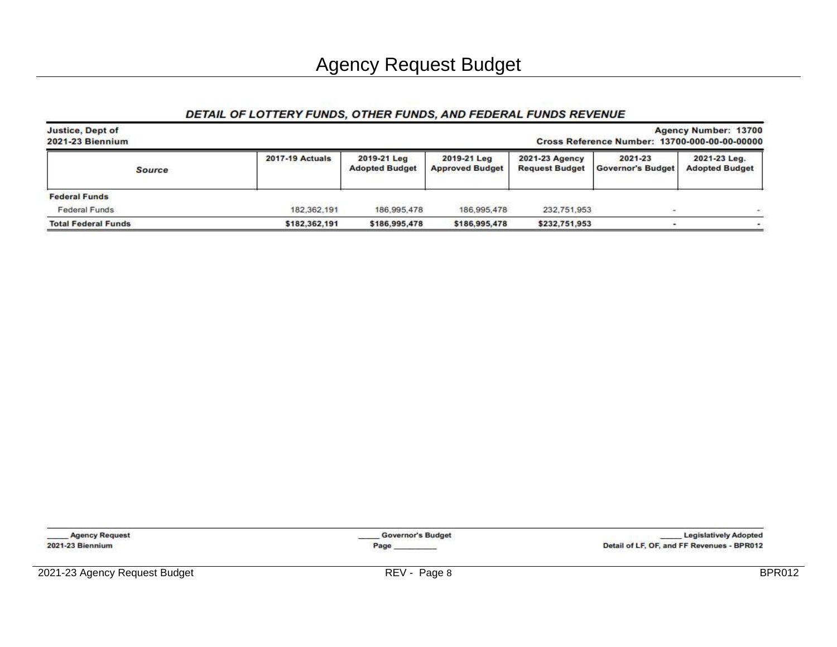### DETAIL OF LOTTERY FUNDS, OTHER FUNDS, AND FEDERAL FUNDS REVENUE

| Agency Number: 13700<br><b>Justice, Dept of</b><br>2021-23 Biennium<br>Cross Reference Number: 13700-000-00-00-00000 |                        |                                      |                                       |                                         |                                     |                                       |  |  |  |
|----------------------------------------------------------------------------------------------------------------------|------------------------|--------------------------------------|---------------------------------------|-----------------------------------------|-------------------------------------|---------------------------------------|--|--|--|
| <b>Source</b>                                                                                                        | <b>2017-19 Actuals</b> | 2019-21 Leg<br><b>Adopted Budget</b> | 2019-21 Leg<br><b>Approved Budget</b> | 2021-23 Agency<br><b>Request Budget</b> | 2021-23<br><b>Governor's Budget</b> | 2021-23 Leg.<br><b>Adopted Budget</b> |  |  |  |
| <b>Federal Funds</b>                                                                                                 |                        |                                      |                                       |                                         |                                     |                                       |  |  |  |
| <b>Federal Funds</b>                                                                                                 | 182,362,191            | 186, 995, 478                        | 186.995.478                           | 232,751,953                             |                                     |                                       |  |  |  |
| <b>Total Federal Funds</b>                                                                                           | \$182,362,191          | \$186,995,478                        | \$186,995,478                         | \$232,751,953                           |                                     |                                       |  |  |  |

\_Agency Request 2021-23 Biennium

Governor's Budget Page

**Legislatively Adopted** Detail of LF, OF, and FF Revenues - BPR012